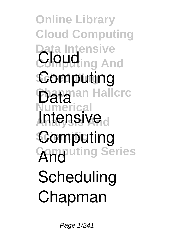**Online Library Cloud Computing Data Intensive Cloud**<sub>ing</sub> And **Scheduling Computing Data**<br> **Data**<br> **Data Numerical Intensive**<sub>d</sub> **Computing Computing Series And Scheduling Chapman**

Page 1/241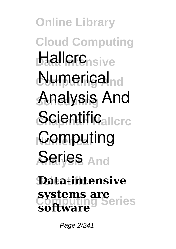**Online Library Cloud Computing Hallcrc**nsive **Numerical**<sub>nd</sub> **Scheduling Analysis And Scientificallcrc Computing Analysis And Series**

## **Scientific Data-intensive Computing Series systems are software**

Page 2/241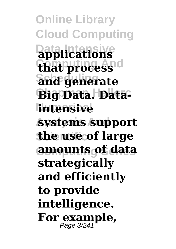**Online Library Cloud Computing Data Intensive applications**  $$ **Scheduling and generate** Big Data. Data**intensive Analysis And systems support the use of large Computing Series amounts of data strategically and efficiently to provide intelligence.** For **example**,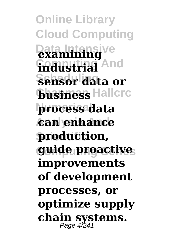**Online Library Cloud Computing Data Intensive examining fndustrial** And **Scheduling sensor data or business** Hallcrc **Numerical process data Analysis And can enhance Scientific production, Computing Series guide proactive improvements of development processes, or optimize supply** chain systems.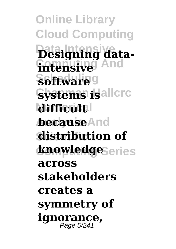**Online Library Cloud Computing Data Intensive Designing datafntensive** And **Software**<sup>g</sup> **Systems is** allerc **difficult because**And **distribution of knowledge**Series **across stakeholders creates a symmetry of ignorance,** Page 5/241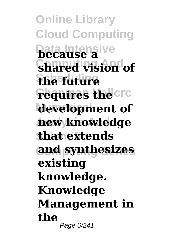**Online Library Cloud Computing Data Intensive because a Computing And shared vision of Scheduling the future Fequires the Crc Numerical development of Analysis And new knowledge Scientific that extends Computing Series and synthesizes existing knowledge. Knowledge Management in the** Page 6/241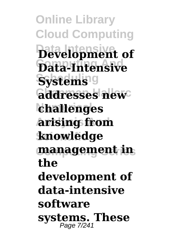**Online Library Cloud Computing Data Intensive Development of Computing And Data-Intensive**  $Systems9$ **addresses** new **Numerical challenges Analysis And arising from Scientific knowledge Computing Series management in the development of data-intensive software systems. These** Page 7/241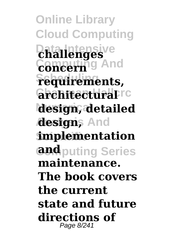**Online Library Cloud Computing Data Intensive challenges Computing And concern**  $F$ equirements, *<u>architecturalDrc</u>* **Numerical design, detailed** *designs And* **implementation and** puting Series **maintenance. The book covers the current state and future directions of** Page 8/241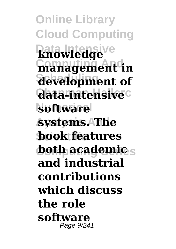**Online Library Cloud Computing Data Intensive knowledge management** in **Scheduling development of data-intensive**c **Numerical software Analysis And systems. The book features both academics and industrial contributions which discuss the role software** Page 9/241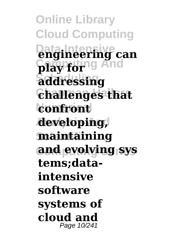**Online Library Cloud Computing Data Intensive engineering can Computing And play for Scheduling addressing**  $$ **Numerical confront Analysis And developing, Scientific maintaining Computing Series and evolving sys tems;dataintensive software systems of cloud and** Page 10/241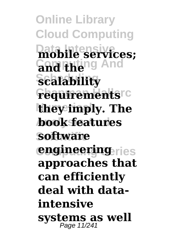**Online Library Cloud Computing Data Intensive mobile services; Computing And and the Scheduling scalability Fequirements**rc **they imply. The Analysis And book features Scientific software engineering ries approaches that can efficiently deal with dataintensive systems as well** Page 11/241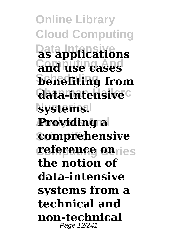**Online Library Cloud Computing Data Intensive as applications Computing And and use cases Scheduling benefiting from data-intensive**c **systems. Analysis And Providing a comprehensive** *ceference* onries **the notion of data-intensive systems from a technical and non-technical** Page 12/241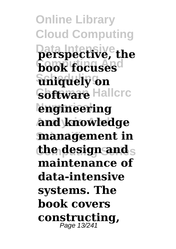**Online Library Cloud Computing Data Intensive perspective, the book focuses**d **Scheduling uniquely on Software Hallcrc engineering Analysis And and knowledge management in the design and** s **maintenance of data-intensive systems. The book covers constructing,** Page 13/241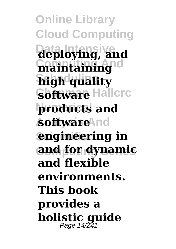**Online Library Cloud Computing Data Intensive deploying, and Computing And maintaining high quality Software Hallcrc Numerical products and** *softwareAnd* **<u>engineering</u>** in **Computing Series and for dynamic and flexible environments. This book provides a holistic guide** Page 14/241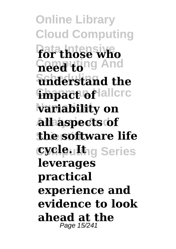**Online Library Cloud Computing Data Intensive for those who Computing And need to Scheduling understand the Empact of lallcrc** *variability* on **Analysis And all aspects of the software life CycleuIt**hg Series **leverages practical experience and evidence to look ahead at the** Page 15/241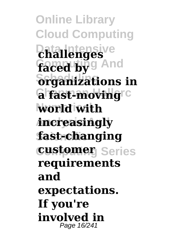**Online Library Cloud Computing Data Intensive challenges** faced by 9 And  $\delta$ rganizations in **a fast-moving**rc **Numerical world with Analysis And increasingly Scientific fast-changing customer** Series **requirements and expectations. If you're involved in** Page 16/241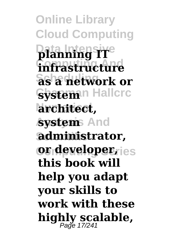**Online Library Cloud Computing Data Intensive planning IT Computing And infrastructure Scheduling as a network or System**<sup>n</sup> Hallcrc **Numerical architect,** *kystem* And **Scientific administrator, or developer, ies this book will help you adapt your skills to work with these highly scalable,** Page 17/241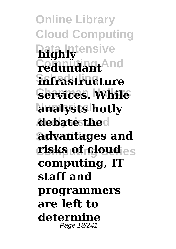**Online Library Cloud Computing Data Intensive highly Computing And redundant Scheduling infrastructure Services. While analysts hotly Analysis And debate the Scientific advantages and**  $\boldsymbol{crisks}$  of cloud<sub>les</sub> **computing, IT staff and programmers are left to determi** Page 18/241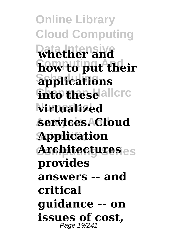**Online Library Cloud Computing Data Intensive whether and Computing And how to put their Scheduling applications finto these** allerc **Numerical virtualized Analysis And services. Cloud Scientific Application Computing Series Architectures provides answers -- and critical guidance -- on issues of cost,** Page 19/241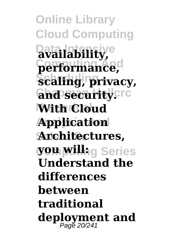**Online Library Cloud Computing Data Intensive availability, Computing And performance,**  $\hat{\textbf{s}}$ caling, privacy, **and security.crd With Cloud Analysis And Application Scientific Architectures, Computing Series you will: Understand the differences between traditional deployment and** Page 20/241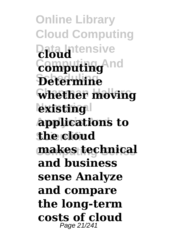**Online Library Cloud Computing Data Intensive cloud Computing And computing Scheduling Determine Whether moving**  $\frac{1}{2}$ **existing Analysis And applications to Scientific the cloud Computing Series makes technical and business sense Analyze and compare the long-term costs of cloud** Page 21/241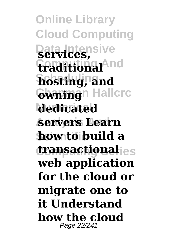**Online Library Cloud Computing Data Intensive services, Computing And traditional Scheduling hosting, and** Gwning<sup>n</sup> Hallcrc **Numerical dedicated Analysis And servers Learn Scientific how to build a Computing Series transactional web application for the cloud or migrate one to it Understand how the cloud** Page 22/241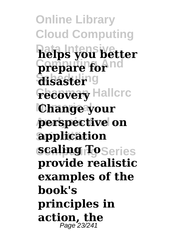**Online Library Cloud Computing Data Intensive helps you better Computing And prepare for disaster**ng **Fecovery Hallcrc Numerical Change your Analysis And perspective on Scientific application** *scaling ToSeries* **provide realistic examples of the book's principles in action, the** Page 23/241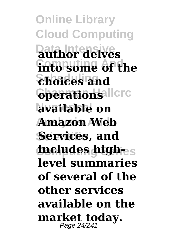**Online Library Cloud Computing Data Intensive author delves into some of the Scheduling choices and**  $6$ perations<sup>allcrc</sup> **Numerical available on** Amazon **Web** Services, and **includes high-** $_{\rm es}$ **level summaries of several of the other services available on the market today.** Page 24/241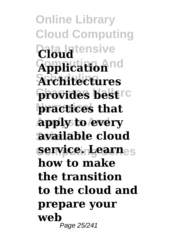**Online Library Cloud Computing Data Intensive Cloud Computing And Application Scheduling Architectures provides bestre Numerical practices that Analysis And apply to every available** cloud **Computing Series service. Learn how to make the transition to the cloud and prepare your web** Page 25/241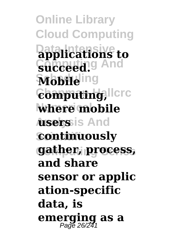**Online Library Cloud Computing Data Intensive applications to** Succeed.<sup>g</sup> And **Mobile**ling  $\epsilon$ omputing, llcrc **where mobile Ansers**is And **continuously Computing Series gather, process, and share sensor or applic ation-specific data, is emerging as a** Page 26/241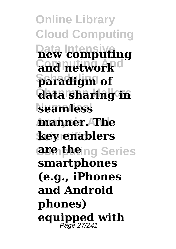**Online Library Cloud Computing Data Intensive new computing Computing And and network Scheduling paradigm of data sharing in seamless Analysis And manner. The Scientific key enablers Computing Series are the smartphones (e.g., iPhones and Android phones) equipped with** Page 27/241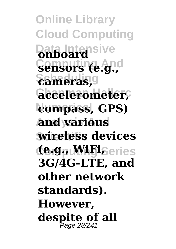**Online Library Cloud Computing Data Intensive onboard Computing And sensors (e.g.,**  $\epsilon$ ameras, **Chapman Hallcrc accelerometer,** compass, GPS) **Analysis And and various Scientific wireless devices (te.gptMiFiSeries 3G/4G-LTE, and other network standards). However, despite of all** Page 28/241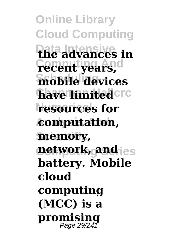**Online Library Cloud Computing Data Intensive the advances in Computing And recent years, Scheduling mobile devices have limited**cro **resources** for **Analysis And computation,** memory, **network, and** ies **battery. Mobile cloud computing (MCC) is a promising** Page 29/241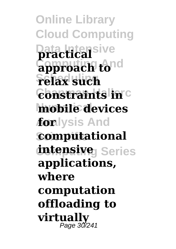**Online Library Cloud Computing Data Intensive practical Computing And approach to Scheduling relax such**  $\frac{1}{2}$  **Constraints in Numerical mobile devices** *f***on**lysis And **computational**  $intensive<sub>J</sub> Series$ **applications, where computation offloading to virtually** Page 30/241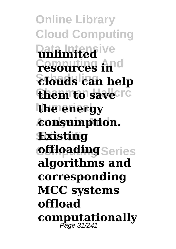**Online Library Cloud Computing Lata Intensive Computing And resources in**  $\delta$ *Stouds* can help **them to save**cre **the energy Analysis And consumption. Scientific Existing offloading** Series **algorithms and corresponding MCC systems offload computationally** Page 31/241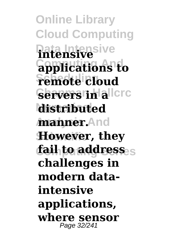**Online Library Cloud Computing Data Intensive intensive Computing And applications to**  $\frac{1}{2}$ **Schiedule Servers in allerc Numerical distributed Analysis And manner. However, they** *f***ail to address challenges in modern dataintensive applications, where sensor** Page 32/241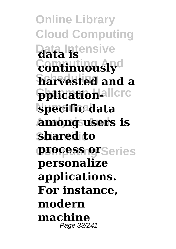**Online Library Cloud Computing Data Intensive data is**  $$ **Scheduling harvested and a pplicationallere Numerical specific data Analysis And among users is Scientific shared to process or**Series **personalize applications. For instance, modern machine** Page 33/241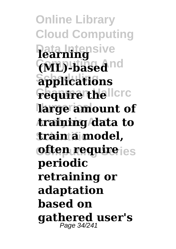**Online Library Cloud Computing Data Intensive learning Computing And (ML)-based Scheduling applications Fequire the licro Numerical large amount of Analysis And training data to Scientific train a model, often require** ies **periodic retraining or adaptation based on gathered user's** Page 34/241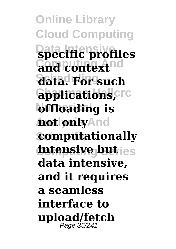**Online Library Cloud Computing Data Intensive specific profiles and context**nd **Scheduling data. For such**  $G$ <sub>pplications,  $C$ </sub> **bffloading** is **hot only**And **computationally intensive but** ies **data intensive, and it requires a seamless interface to upload/fetch** Page 35/241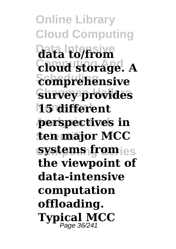**Online Library Cloud Computing Data Intensive data to/from Computing And cloud storage. A**  $\overline{\textbf{compre}}$ *hensive* **Survey provides 15 different Analysis And perspectives in Scientific ten major MCC systems from** ies **the viewpoint of data-intensive computation offloading. Typical MCC** Page 36/241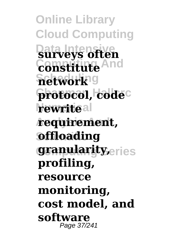**Online Library Cloud Computing Data Intensive surveys often Computing And constitute**  $\overline{\textbf{network}}$ g protocol, code<sup>c</sup> **rewriteal Analysis And requirement, Soffloading granularity**eries **profiling, resource monitoring, cost model, and software** Page 37/241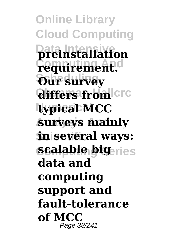**Online Library Cloud Computing Data Intensive preinstallation Computing And requirement. Scheduling Our survey**  $differs$  from  $|circ|$ **Numerical typical MCC Analysis And surveys mainly in several ways: scalable bigeries data and computing support and fault-tolerance of MCC** Page 38/241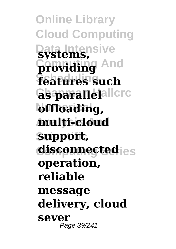**Online Library Cloud Computing Data Intensive systems, providing And Scheduling features such**  $\bf$ as parallelallcrc **bffloading, Analysis And multi-cloud Scientific support, disconnected** ies **operation, reliable message delivery, cloud sever** Page 39/241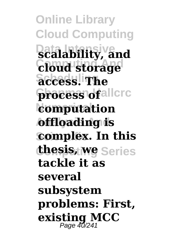**Online Library Cloud Computing Data Intensive scalability, and Computing And cloud storage Scheduling access. The**  ${\bf process}$  of allcrc **Numerical computation Analysis And offloading is complex.** In this **thesis, we** Series **tackle it as several subsystem problems: First, existing MCC** Page 40/241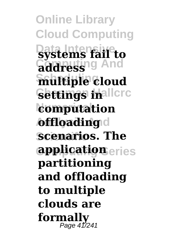**Online Library Cloud Computing Data Intensive systems fail to Computing And address Scheduling multiple cloud Settings inallere Numerical computation Andria Andrn scenarios. The Computing Series application partitioning and offloading to multiple clouds are formally** Page 41/241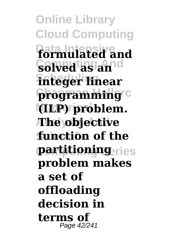**Online Library Cloud Computing Data Intensive formulated and Computing And solved as an** *<u>integer</u>* linear **programming**<sup>c</sup> **Numerical (ILP) problem. Analysis And The objective Scientific function of the partitioning ries problem makes a set of offloading decision in terms of** Page 42/241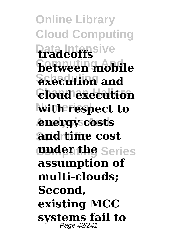**Online Library Cloud Computing Data Intensive tradeoffs between mobile Sxecution** and  $C$ **loud** execution **with respect to Analysis And energy costs and time cost wadenthe** Series **assumption of multi-clouds; Second, existing MCC systems fail to** Page 43/241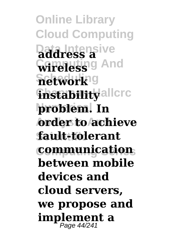**Online Library Cloud Computing Data Intensive address a Correless** of And  $\overline{\textbf{network}}$ g **finstability**allcrc **problem**. In **Analysis And order to achieve Scientific fault-tolerant Computing Series communication between mobile devices and cloud servers, we propose and implement a** Page 44/241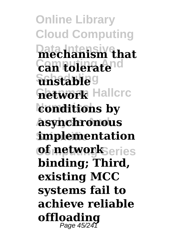**Online Library Cloud Computing Data Intensive mechanism that Computing And can tolerate Scheduling unstable hetwork** Hallcrc **konditions by Analysis And asynchronous implementation**  $of$  networkSeries **binding; Third, existing MCC systems fail to achieve reliable offloading** Page 45/241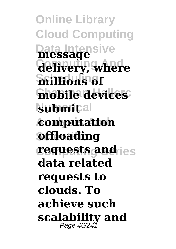**Online Library Cloud Computing Data Intensive message Computing And delivery, where Scheduling millions of mobile devices submital Analysis And computation Soffloading requests and ies data related requests to clouds. To achieve such scalability and** Page 46/241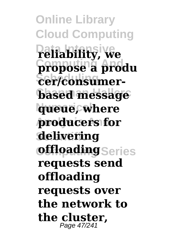**Online Library Cloud Computing Data Intensive reliability, we Computing And propose a produ**  $\overline{\text{Cer}/\text{con}}\text{sumer}$ **based message k**ueue, where **Analysis And producers for Scientific delivering offloading** Series **requests send offloading requests over the network to the cluster,** Page 47/241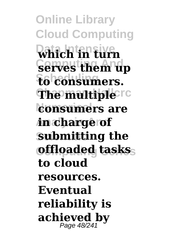**Online Library Cloud Computing Data Intensive which in turn Computing And serves them up**  $F_6$  consumers. **The multiple**rc **consumers are Analysis And in charge of Submitting the Computing Series offloaded tasks to cloud resources. Eventual reliability is achieved by** Page 48/241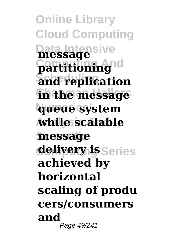**Online Library Cloud Computing Data Intensive message Computing And partitioning**  $\overline{\text{a}}$ nd replication **fin the message Numerical queue system Analysis And while scalable Scientific message delivery is** Series **achieved by horizontal scaling of produ cers/consumers and** Page 49/241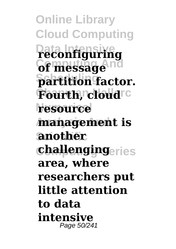**Online Library Cloud Computing Data Intensive reconfiguring Computing And of message**  $\beta$ artition factor. **Fourth, cloud**<sup>c</sup> **Numerical resource Analysis And management is Scientific another**  $$ **area, where researchers put little attention to data intensive** Page 50/241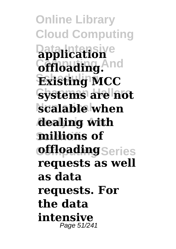**Online Library Cloud Computing Data Intensive application**  $Gf1$ oading. And **Scheduling Existing MCC Systems are not scalable when Analysis And dealing with Scientific millions of offloading** Series **requests as well as data requests. For the data intensive** Page 51/241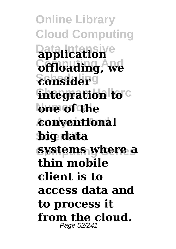**Online Library Cloud Computing Data Intensive application Computing And offloading, we Scheduling consider integration to**<sup>c</sup> **Numerical one of the Analysis And conventional Scientific big data systems where a thin mobile client is to access data and to process it from the cloud.** Page 52/241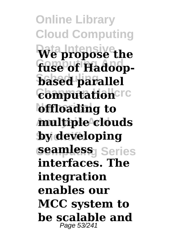**Online Library Cloud Computing Data Intensive We propose the** fuse of Hadoop**based** parallel  $\epsilon$ omputation<sup>crc</sup> **bffloading** to **Analysis And multiple clouds by developing seamless** Series **interfaces. The integration enables our MCC system to be scalable and** Page 53/241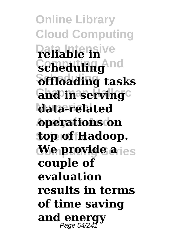**Online Library Cloud Computing Data Intensive reliable in Computing And scheduling Scheduling offloading tasks Cand in serving Numerical data-related Analysis And operations on Scientific top of Hadoop.** *We provide a ies* **couple of evaluation results in terms of time saving and energy** Page 54/241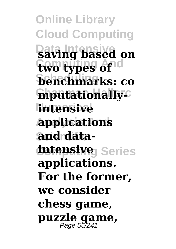**Online Library Cloud Computing Data Intensive saving based on two types of**<sup>d</sup> **Scheduling benchmarks: co mputationally**<sup>c</sup> **intensive Analysis And applications and data** $intensive<sub>J</sub> Series$ **applications. For the former, we consider chess game, puzzle game,** Page 55/241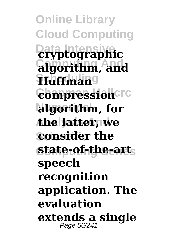**Online Library Cloud Computing Data Intensive cryptographic Computing And algorithm, and Scheduling Huffman**  $\epsilon$ ompression<sub>Crc</sub> **Numerical algorithm, for Analysis And the latter, we consider the Computing Series state-of-the-art speech recognition application. The evaluation extends a single** Page 56/241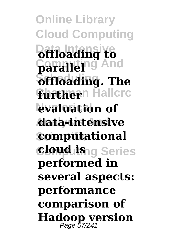**Online Library Cloud Computing Data Intensive offloading to Computing And parallel**  $\delta$ **ffloading**. The **further**<sup>n</sup> Hallcrc **evaluation of Analysis And data-intensive computational Computing Series cloud is performed in several aspects: performance comparison of Hadoop version** Page 57/241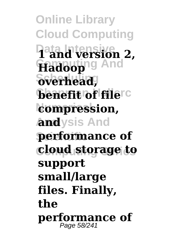**Online Library Cloud Computing Data Intensive 1 and version 2, Hadoop**ng And  $\delta$ verhead, **benefit of filerc Numerical compression, Analysis And and performance** of **Computing Series cloud storage to support small/large files. Finally, the performance of** Page 58/241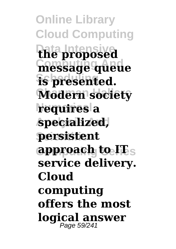**Online Library Cloud Computing Data Intensive the proposed Computing And message queue Scheduling is presented. Modern society Numerical requires a Analysis And specialized, persistent Computing Series approach to IT service delivery. Cloud computing offers the most logical answer** Page 59/241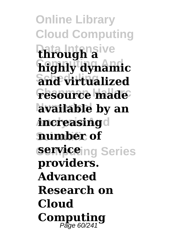**Online Library Cloud Computing Data Intensive through a Computing And highly dynamic Scheduling and virtualized Fesource made Numerical available by an increasing**d **Scientific number of Service**ing Series **providers. Advanced Research on Cloud** Computing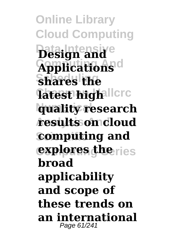**Online Library Cloud Computing Data Intensive Design and Applications**<sup>d</sup> **Scheduling shares the latest high**llcrc **quality research Analysis And results on cloud computing and explores the ries broad applicability and scope of these trends on an international** Page 61/241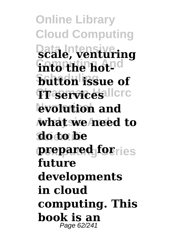**Online Library Cloud Computing Data Intensive scale, venturing**  $\frac{1}{2}$  **into the hotbutton** issue of  $T$  services llcrc **Numerical evolution and Analysis And what we need to do to be prepared for**ries **future developments in cloud computing. This book is an** Page 62/241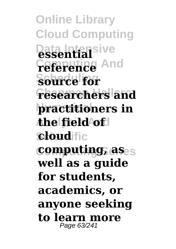**Online Library Cloud Computing Data Intensive essential Computing And reference source** for **researchers and practitioners in Analysis And the field of cloud**ific **computing, as well as a guide for students, academics, or anyone seeking to learn more** Page 63/241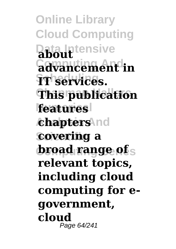**Online Library Cloud Computing Data Intensive about Computing And advancement in Scheduling IT services. Chapman Hallcrc This publication features chapters** and **covering a broad range of** s **relevant topics, including cloud computing for egovernment, cloud** Page 64/241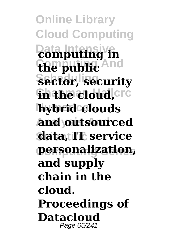**Online Library Cloud Computing Data Intensive computing in Computing And the public** Sector, security *fh* **the cloud, cre hybrid** clouds **Analysis And and outsourced Scientific data, IT service Computing Series personalization, and supply chain in the cloud. Proceedings of Datacloud** Page 65/241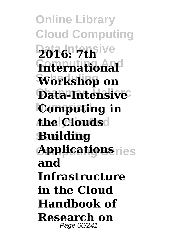**Online Library Cloud Computing Data Intensive 2016: 7th Computing And International Scheduling Workshop on** Data-Intensive<sup>C</sup> **Computing in Analysis And the Clouds Scientific Building Applications**ries **and Infrastructure in the Cloud Handbook of Research on** Page 66/241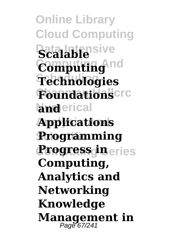**Online Library Cloud Computing Data Intensive Scalable Computing And Computing Scheduling Technologies Foundations**cre **land**erical **Analysis And Applications Scientific Programming Progress in**eries **Computing, Analytics and Networking Knowledge Management in** Page 67/241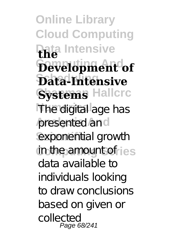**Online Library Cloud Computing Data Intensive the Computing And Development of Scheduling Data-Intensive Systems** Hallcrc **Numerical** The digital age has presented and exponential growth in the amount of ries data available to individuals looking to draw conclusions based on given or collected Page 68/241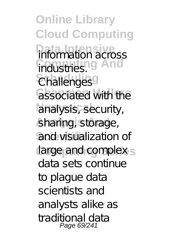**Online Library Cloud Computing Information across Computing And Challenges** associated with the analysis, security, sharing, storage, and visualization of large and complex s data sets continue to plague data scientists and analysts alike as traditional data Page 69/241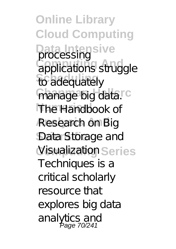**Online Library Cloud Computing Data Intensive** processing applications struggle **fo** adequately manage big datarc The Handbook of **Analysis And** Research on Big Data Storage and Visualization Series Techniques is a critical scholarly resource that explores big data analytics and Page 70/241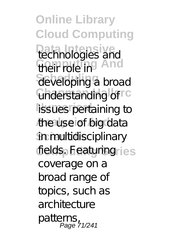**Online Library Cloud Computing Data Intensive Computing And Scheduling** developing a broad **Understanding of C** lissues pertaining to **Analysis And** the use of big data **Scientifical** sciplinary fields. Featuring ries technologies and their role in coverage on a broad range of topics, such as architecture patterns, Page 71/241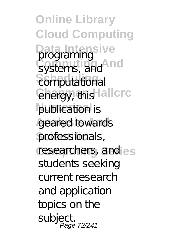**Online Library Cloud Computing Data Intensive** systems, and **nd**  $\widetilde{\mathsf{comput}}$  tional **Chargy, this Hallcrc** publica tion is geared towards professionals, researchers, and les students seeking current research and application topics on the subject. Page 72/241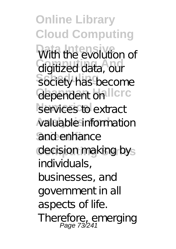**Online Library Cloud Computing** With the evolution of **Computing And** digitized data, our Society has become dependent on Ilcrc services to extract **Analysis And** valuable information and enhance decision making bys individuals, businesses, and government in all aspects of life. Therefore, emerging<br>Page 73/241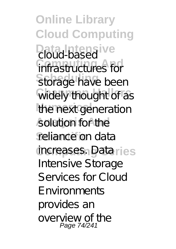**Online Library Cloud Computing Data Litersive infrastructures** for Storage have been **Widely thought of as the next generation** solution for the reliance on data increases. Dataries Intensive Storage Services for Cloud Environments provides an overview of the Page 74/241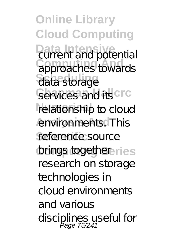**Online Library Cloud Computing Data Intensive** current and potential **Computing And** approaches towards data storage Services and its crc relationship to cloud **Analysis And** environments. This reference source brings togethereries research on storage technologies in cloud environments and various disciplines useful for<br>Page 75/241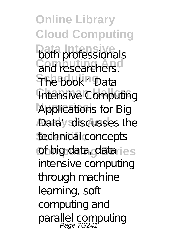**Online Library Cloud Computing both professionals Computing And** and researchers. **Scheduling** The book 'Data **Intensive Computing** Applications for Big Data'y sdiscusses the technical concepts of big data, dataries intensive computing through machine learning, soft computing and parallel computing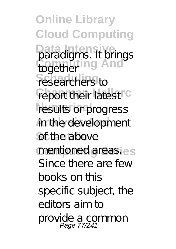**Online Library Cloud Computing Data Intensive** paradigms. It brings together ing And researchers to report their latest<sup>rc</sup> results or progress **Annthe development** of the above mentioned areas.ies Since there are few books on this specific subject, the editors aim to provide a common Page 77/241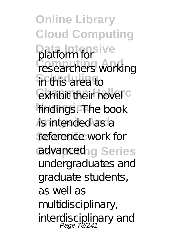**Online Library Cloud Computing Data Intensive** platform for researchers working **Scheduling** in this area to **Exhibit their novel<sup>c</sup>** findings. The book **is intended as a** reference work for advancedng Series undergraduates and graduate students, as well as multidisciplinary, interdisciplinary and Page 78/241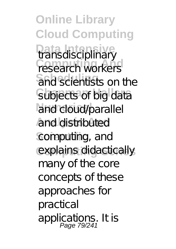**Online Library Cloud Computing Transdisciplinary research workers** and scientists on the Subjects of big data and cloud/parallel **Analysis And** and distributed computing, and explains didactically many of the core concepts of these approaches for practical applications. It is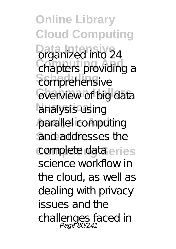**Online Library Cloud Computing Drganized into 24** chapters providing a  $\varepsilon$ omprehensive **C**verview of big data analysis using parallel computing and addresses the complete dataeries science workflow in the cloud, as well as dealing with privacy issues and the challenges faced in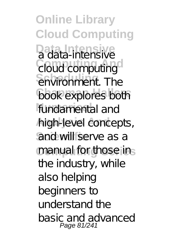**Online Library Cloud Computing Data Intensive** a data-intensive Cloud computing<sup>o</sup>  $\overline{\text{e}}$  fivironment. The **book explores both** fundamental and **Analysis And** high-level concepts, and will serve as a manual for those ins the industry, while also helping beginners to understand the basic and advanced Page 81/241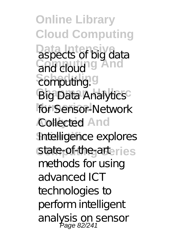**Online Library Cloud Computing Data Intensive** aspects of big data **Computing And**  $\overline{\textrm{completing}}$ . **Big Data Analytics** for Sensor-Network **Collected And Intelligence explores** state-of-the-arteries methods for using advanced ICT technologies to perform intelligent analysis on sensor<br>Page 82/241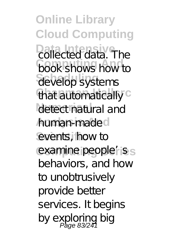**Online Library Cloud Computing Collected data**. The **Computing And** book shows how to **Scheduling** develop systems that automatically<sup>c</sup> detect natural and **Analysis And** human-made events, how to examine people'<sub>i</sub>ss behaviors, and how to unobtrusively provide better services. It begins by exploring big<br>Page 83/241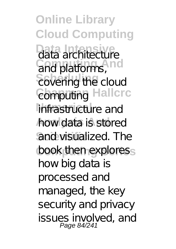**Online Library Cloud Computing** data architecture **Computing And** and platforms,  $\overline{\text{covering}}$  the cloud Computing Hallcrc infrastructure and **Analysis And** how data is stored and visualized. The book then exploress how big data is processed and managed, the key security and privacy issues involved, and<br>Page 84/241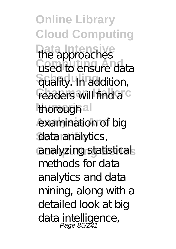**Online Library Cloud Computing** the approaches **used to ensure data**  $\frac{1}{2}$  Guality. **In addition**, readers will find a<sup>rc</sup> thorough al examination of big data analytics, **Computing Series** analyzing statistical methods for data analytics and data mining, along with a detailed look at big data intelligence,<br>Page 85/241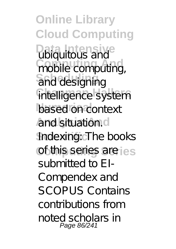**Online Library Cloud Computing Data Library** mobile computing, and designing intelligence system based on context **Analysis And** and situation. Indexing: **The books** of this series are lest submitted to EI-Compendex and SCOPUS Contains contributions from noted scholars in Page 86/241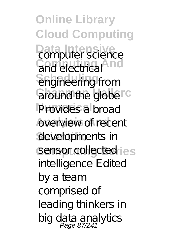**Online Library Cloud Computing Data Internal Internal Computer science** and electrical<sup>4</sup> **Scheduling** engineering from around the globe<sup>rc</sup> Provides a broad **Analysis And** overview of recent developments in sensor collected<sub>ries</sub> intelligence Edited by a team comprised of leading thinkers in big data analytics<br>Page 87/241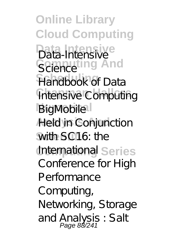**Online Library Cloud Computing Data Intensive** Data-Intensive Science ing And **Scheduling** Handbook of Data **Intensive Computing BigMobile Analysis And** Held in Conjunction with SC16: the International Series Conference for High Performance Computing, Networking, Storage and Analysis : Salt<br>Page 88/241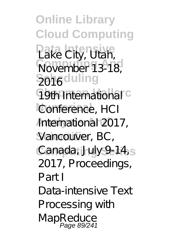**Online Library Cloud Computing Data Intensive** Lake City, Utah, **November 13-18 Scheduling** 2016 **T9th International C** Conference, HCI **Analysis And** International 2017, Vancouver, BC, Canada, July 9-14<sub>s</sub> 2017, Proceedings, Part I Data-intensive Text Processing with MapReduce<br>Page 89/241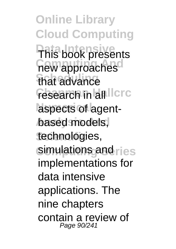**Online Library Cloud Computing This book presents new approaches Scheduling** that advance **research in all lcrc** aspects of agentbased models, technologies, simulations and ries implementations for data intensive applications. The nine chapters contain a review of Page 90/241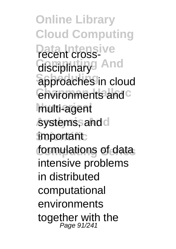**Online Library Cloud Computing Data Intensive** recent cross-Gisciplinary<sup>g</sup> And  $\overline{a}$ pproaches in cloud **Chvironments and C Numerical** multi-agent systems, and d **important** formulations of data intensive problems in distributed computational environments together with the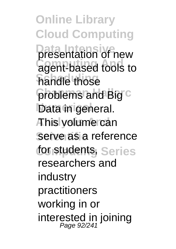**Online Library Cloud Computing presentation of new Computer** agent-based tools to **Scheduling** handle those problems and Big C Data in general. **Analysis And** This volume can Serve as a reference for students, Series researchers and industry practitioners working in or interested in joining Page 92/241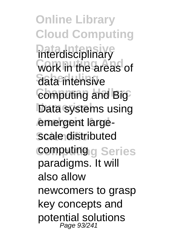**Online Library Cloud Computing Data Interdisciplinary Work in the areas of** data intensive **Computing and Big** Data systems using emergent large**scale distributed** computing g Series paradigms. It will also allow newcomers to grasp key concepts and potential solutions Page 93/241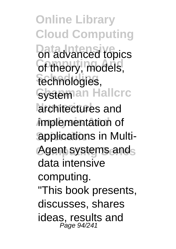**Online Library Cloud Computing Data advanced topics Community**, models, technologies, Systeman Hallcrc architectures and **Analysis And** implementation of **Sapplications in Multi-**Agent systems ands data intensive computing. "This book presents, discusses, shares ideas, results and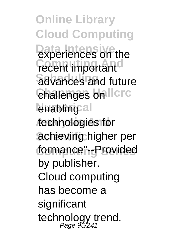**Online Library Cloud Computing Data Intensive**<br>experiences on the *<u>recent</u>* important<sup>d</sup> **Sdvances** and future **Challenges on Ilcrc** lenabling al **Analysis And** technologies for achieving higher per formance"<sub>rc</sub>Provided by publisher. Cloud computing has become a significant technology trend.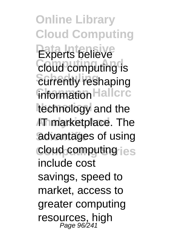**Online Library Cloud Computing** Experts believe **Cloud computing is** *<u>Surrently</u>* reshaping **Information Hallcrc** technology and the **AT marketplace. The** advantages of using cloud computing ies include cost savings, speed to market, access to greater computing resources, high Page 96/241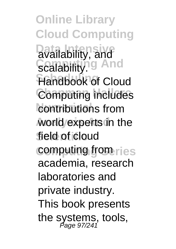**Online Library Cloud Computing Data Intensive** availability, and Scalability<sup>ig</sup> And **Handbook of Cloud Computing includes contributions** from **Analysis And** world experts in the field of cloud computing from ries academia, research laboratories and private industry. This book presents the systems, tools,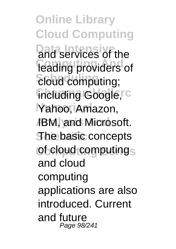**Online Library Cloud Computing Data Intensive** and services of the leading providers of  $E$ *bud* computing; including Google,<sup>rc</sup> Yahoo, Amazon, **IBM, and Microsoft. The basic concepts** of cloud computings and cloud computing applications are also introduced. Current and future Page 98/241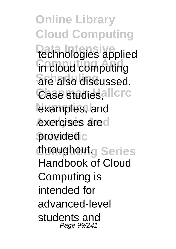**Online Library Cloud Computing Data Intensive** technologies applied in cloud computing **Scheduling** are also discussed. Case studies, allcrc examples, and exercises ared provided c throughoutg Series Handbook of Cloud Computing is intended for advanced-level students and Page 99/241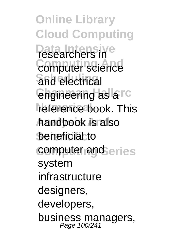**Online Library Cloud Computing Data Intensive** researchers in **Computer science Scheduling** and electrical *<u>Engineering</u>* as arc reference book. This **Analysis And** handbook is also **beneficial to** computer and eries system infrastructure designers. developers, business managers,<br>Page 100/241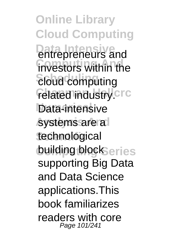**Online Library Cloud Computing Data Intensive** entrepreneurs and investors within the **Scheduling** cloud computing **Felated industry.crc** Data-intensive systems are a technological **building blockSeries** supporting Big Data and Data Science applications.This book familiarizes readers with core Page 101/241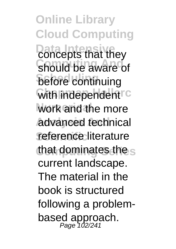**Online Library Cloud Computing Data Lines Should be aware of before** continuing **With independent <sup>c</sup>** work and the more **Analysis And** advanced technical reference literature that dominates the s current landscape. The material in the book is structured following a problembased approach.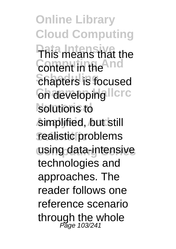**Online Library Cloud Computing Data Intensive** This means that the **Content in the And** *<u>Chapters</u>* is focused **Chaeveloping Ilcrc** solutions to **Analysis And** simplified, but still realistic problems using data-intensive technologies and approaches. The reader follows one reference scenario through the whole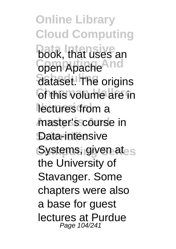**Online Library Cloud Computing Data Intensive** book, that uses an **Computing And** open Apache **Sataset.** The origins *<u>Ghthis volume</u>* are in lectures from a master's course in Data-intensive Systems, given at<sub>es</sub> the University of Stavanger. Some chapters were also a base for guest lectures at Purdue Page 104/241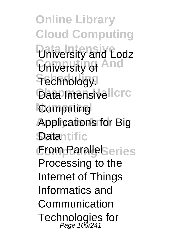**Online Library Cloud Computing Data Intensive** University and Lodz **Conversity of And Technology Data Intensivellere Computing Applications for Big Datantific Erom ParallelSeries** Processing to the Internet of Things Informatics and Communication Technologies for<br>Page 105/241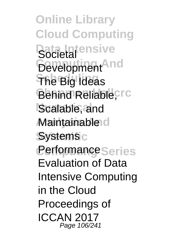**Online Library Cloud Computing Societal** Development<sup>And</sup> **Scheduling** The Big Ideas Behind Reliable<sub>,crc</sub> Scalable, and **Maintainable d Systems**<sub>c</sub> **Performance** Series Evaluation of Data Intensive Computing in the Cloud Proceedings of ICCAN 2017 Page 106/241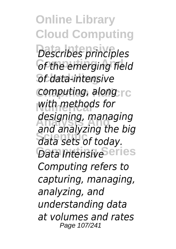**Online Library Cloud Computing Data Intensive** *Describes principles*  $Of the emerging field$ **Scheduling** *of data-intensive computing, along*<sub>rc</sub> **Numerical** *with methods for* **Analysis And** *and analyzing the big* **Scientific** *data sets of today. Data Intensive*Series *designing, managing Computing refers to capturing, managing, analyzing, and understanding data at volumes and rates* Page 107/241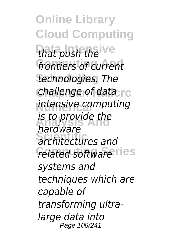**Online Library Cloud Computing** that push the ve frontiers of current **Scheduling** *technologies. The challenge of data* rc *intensive computing* **Analysis And** *is to provide the* **Scientific** *architectures and*  $r$ elated software<sup>ries</sup> *hardware systems and techniques which are capable of transforming ultralarge data into* Page 108/241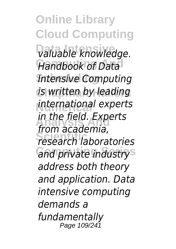**Online Library Cloud Computing Data Intensive** *valuable knowledge.* **Handbook of Data Scheduling** *Intensive Computing is written by leading* **Numerical** *international experts* **Analysis And** *in the field. Experts* **Scientific** *research laboratories* **Computing Series** *and private industry from academia, address both theory and application. Data intensive computing demands a fundamentally* Page 109/241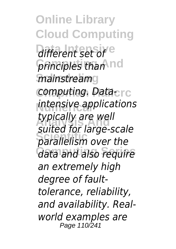**Online Library Cloud Computing** *different set of*  $p$ *finciples than* nd  $m$ ainstreamg *computing. Data-crc intensive applications* **Analysis And** *suited for large-scale* **Scientific** *parallelism over the* **Computing Series** *data and also require typically are well an extremely high degree of faulttolerance, reliability, and availability. Realworld examples are* Page 110/241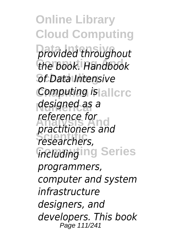**Online Library Cloud Computing Data Intensive** *provided throughout* **Computing And** *the book. Handbook* **Scheduling** *of Data Intensive Computing is* allerc **Numerical** *designed as a* **Analysis And** *practitioners and* **Scientific** *researchers, fincluding* Ing Series *reference for programmers, computer and system infrastructure designers, and developers. This book* Page 111/241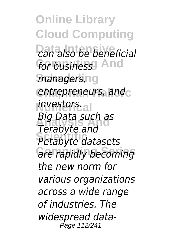**Online Library Cloud Computing Data Intensive** *can also be beneficial* for business<sup>1</sup> And  $m$ anagers,ng entrepreneurs, and<sub>C</sub> **Numerical** *investors.* **Analysis And** *Terabyte and* **Scientific** *Petabyte datasets* **Computing Series** *are rapidly becoming Big Data such as the new norm for various organizations across a wide range of industries. The widespread data-*Page 112/241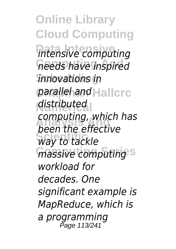**Online Library Cloud Computing Data Intensive** *intensive computing* **Computing And** *needs have inspired* **Scheduling** *innovations in parallel and* Hallcrc *distributed computing, which has*<br>*been the effective Way to tackle* **massive computing**<sup>s</sup> *been the effective workload for decades. One significant example is MapReduce, which is a programming* Page 113/241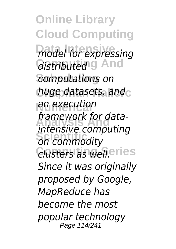**Online Library Cloud Computing Data Intensive** *model for expressing* **Gistributed**<sup>g</sup> And **Scheduling** *computations on huge datasets, and* **Numerical** *an execution* **Analysis And** *intensive computing* **Scientific** *on commodity Clusters as well***eries** *framework for data-Since it was originally proposed by Google, MapReduce has become the most popular technology* Page 114/241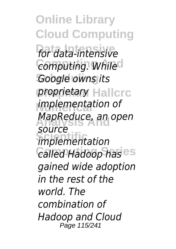**Online Library Cloud Computing Data Intensive** *for data-intensive*  $Computing.$  While<sup>d</sup> **Scheduling** *Google owns its* **proprietary** Hallcrc **Numerical** *implementation of* **Analysis And** *MapReduce, an open* **Scientific** *implementation*  $Ga$ *led Hadoop has* es *source gained wide adoption in the rest of the world. The combination of Hadoop and Cloud* Page 115/241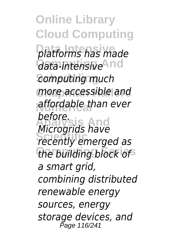**Online Library Cloud Computing Data Intensive** *platforms has made* **Computing And** *data-intensive* **Scheduling** *computing much* **Chapman Hallcrc** *more accessible and affordable than ever* **Analysis And** *Microgrids have* **Scientific** *recently emerged as* the building block of *before. a smart grid, combining distributed renewable energy sources, energy storage devices, and* Page 116/241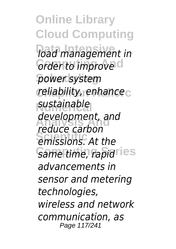**Online Library Cloud Computing Data Intensive** *load management in <u>Grder to improve</u>*  $power$ *system* **Chapman Hallcrc** *reliability, enhance* sustainable **Analysis And** *reduce carbon Equite call boll Same time, rapidlies development, and advancements in sensor and metering technologies, wireless and network communication, as* Page 117/241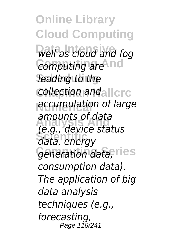**Online Library Cloud Computing Data Intensive** *well as cloud and fog* **Computing And** *computing are* **Scheduling** *leading to the collection andallcrc* **accumulation of large Analysis And** *(e.g., device status* **Scientific** *data, energy* Generation data,<sup>eries</sup> *amounts of data consumption data). The application of big data analysis techniques (e.g., forecasting,* Page 118/241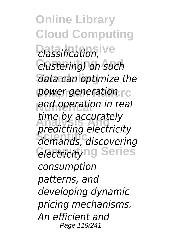**Online Library Cloud Computing Data Intensive** *classification,* **Computing And** *clustering) on such* **Scheduling** *data can optimize the* **power generation rc Numerical** *and operation in real* **Analysis And** *predicting electricity* **Scientific** *demands, discovering <u>electricity</u>ng Series time by accurately consumption patterns, and developing dynamic pricing mechanisms. An efficient and* Page 119/241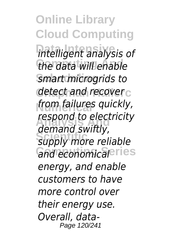**Online Library Cloud Computing Data Intensive** *intelligent analysis of* the data will enable **Scheduling** *smart microgrids to* detect and recover<sub>c</sub> *from failures quickly,* **Analysis And** *demand swiftly,* **Scientific** *supply more reliable*  $G$ *and economical*eries *respond to electricity energy, and enable customers to have more control over their energy use. Overall, data-*Page 120/241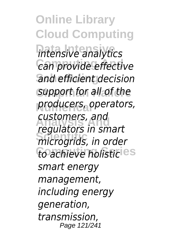**Online Library Cloud Computing Data Intensive** *intensive analytics*  $Can$  provide effective **Scheduling** *and efficient decision* **Chapman Hallcrc** *support for all of the producers, operators,* **Analysis And** *regulators in smart* **Microgrids, in order Computing Series** *to achieve holistic customers, and smart energy management, including energy generation, transmission,* Page 121/241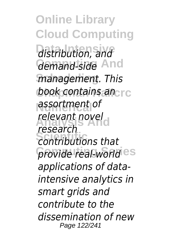**Online Library Cloud Computing Data Intensive** *distribution, and* demand-side And  $m$ anagement. This **book contains an**cre **Numerical** *assortment of* relevant novel **Scientific** *contributions that*  $p$ *rovide real-world* es *research applications of dataintensive analytics in smart grids and contribute to the dissemination of new* Page 122/241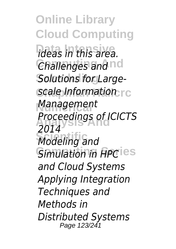**Online Library Cloud Computing Data Intensive** *ideas in this area.* **Challenges and nd** Solutions for Large-*Scale Information* **Numerical** *Management* **Analysis And** *Proceedings of ICICTS* **Modeling and** *Simulation in APC* ies *2014 and Cloud Systems Applying Integration Techniques and Methods in Distributed Systems* Page 123/241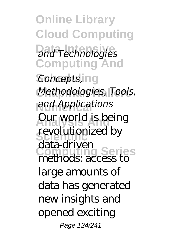**Online Library Cloud Computing Data Intensive** *and Technologies* **Computing And Scheduling** *Concepts,* **Chapman Hallcrc** *Methodologies, Tools,* and Applications **Aur world is being** revolutionized by **Computing Series** methods: access to data-driven large amounts of data has generated new insights and opened exciting Page 124/241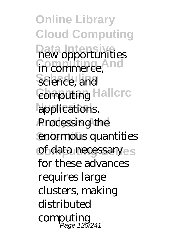**Online Library Cloud Computing Data** opportunities in commerce, and science, and **Computing Hallcrc** applications. **Processing the** enormous quantities of data necessaryes for these advances requires large clusters, making distributed computing Page 125/241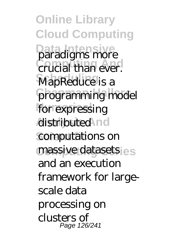**Online Library Cloud Computing Data Intensive Crucial than ever. MapReduce** is a programming model for expressing distributed nd **Computations** on massive datasets es and an execution framework for largescale data processing on clusters of Page 126/241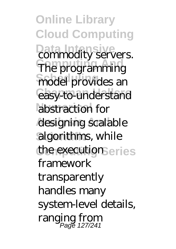**Online Library Cloud Computing Data Internal Intervers.** The programming model provides an easy-to-understand abstraction for designing scalable algorithms, while the execution eries framework transparently handles many system-level details, ranging from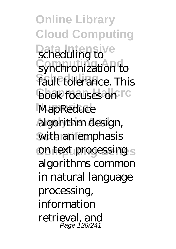**Online Library Cloud Computing Data Intensive Computer** Synchronization to **Fault tolerance. This book focuses on FC MapReduce Analysis And** algorithm design, with an emphasis on text processing s algorithms common in natural language processing, information retrieval, and Page 128/241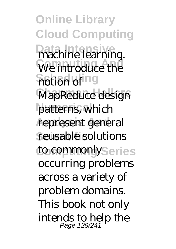**Online Library Cloud Computing** Data **Intellearning** We introduce the **Spotlight** of ng **MapReduce design** patterns, which represent general reusable solutions to commonly<sub>Series</sub> occurring problems across a variety of problem domains. This book not only intends to help the Page 129/241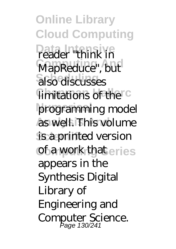**Online Library Cloud Computing Data Intensive** reader "think in MapReduce", but also discusses limitations of the C programming model as well. This volume is a printed version **of a work that eries** appears in the Synthesis Digital Library of Engineering and Computer Science. Page 130/241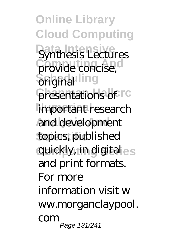**Online Library Cloud Computing Synthesis Lectures** provide concise, **Sciginal**ling presentations of <sup>r c</sup> important research and development topics, published **Computing Series** quickly, in digital and print formats. For more information visit w ww.morganclaypool. com Page 131/241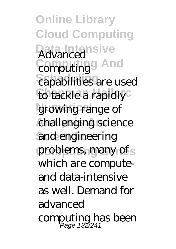**Online Library Cloud Computing Data Intensive** Advanced **Computing And** computing capabilities are used to tackle a rapidly<sup>c</sup> growing range of challenging science and engineering problems, many of s which are computeand data-intensive as well. Demand for advanced computing has been Page 132/241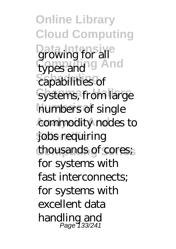**Online Library Cloud Computing Data Intensive**<br>growing for all types and <sup>9</sup> And capabilities of systems, from large numbers of single **commodity nodes to Scientific** jobs requiring thousands of cores; for systems with fast interconnects; for systems with excellent data handling and Page 133/241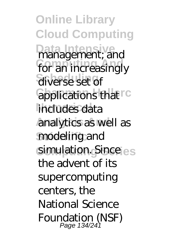**Online Library Cloud Computing** Data **Internal**<br> **management**; and for an increasingly diverse set of **Capplications that**<sup>c</sup> includes data analytics as well as modeling and simulation. Since es the advent of its supercomputing centers, the National Science Foundation (NSF)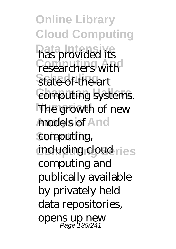**Online Library Cloud Computing has provided its** researchers with **State-of-the-art** computing systems. The growth of new **models of And** computing, including cloud ries computing and publically available by privately held data repositories, opens up new Page 135/241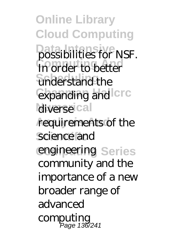**Online Library Cloud Computing Data Intensive** possibilities for NSF. **In order to better** understand the expanding and **Crc** diverse<sup>ical</sup> requirements of the science and engineering Series community and the importance of a new broader range of advanced computing Page 136/241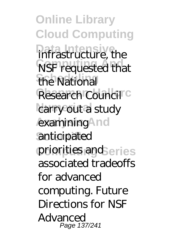**Online Library Cloud Computing Data Intensive**<br>
infrastructure, the **NSF** requested that the National Research Council<sup>C</sup> carry out a study examining<sup>A</sup>nd anticipated priorities and eries associated tradeoffs for advanced computing. Future Directions for NSF Advanced Page 137/241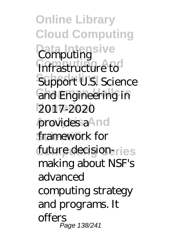**Online Library Cloud Computing Data Intensive** Computing **Computer Support U.S. Science Cand Engineering in Numerical** 2017-2020 provides a<sup>4</sup>nd framework for future decisionmaking about NSF's advanced computing strategy and programs. It offers Page 138/241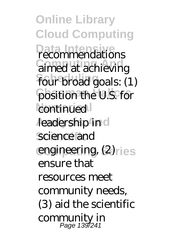**Online Library Cloud Computing Data Intensive** recommendations **Computing And** aimed at achieving four broad goals: (1) position the U.S. for continued *deadership* in d science and engineering, (2)<sub>ries</sub> ensure that resources meet community needs, (3) aid the scientific community in Page 139/241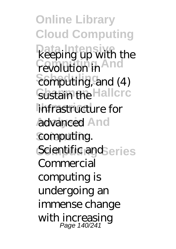**Online Library Cloud Computing Data Intensive** keeping up with the **revolution** in **Schiputing, and (4)** Sustain the Hallcrc infrastructure for **And** computing. Scientific and eries Commercial computing is undergoing an immense change with increasing Page 140/241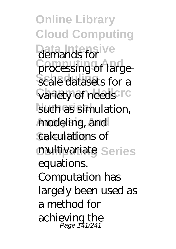**Online Library Cloud Computing Data Intensive** demands for processing of largescale datasets for a **Variety of needs IC** such as simulation, **Analysis And** modeling, and calculations of multivariate Series equations. Computation has largely been used as a method for achieving the Page 141/241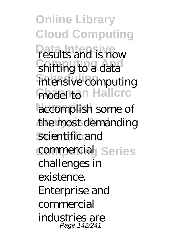**Online Library Cloud Computing Data Intensive** results and is now shifting to a data intensive computing model ton Hallcrc accomplish some of the most demanding **Scientific** scientific and **commercial** Series challenges in existence. Enterprise and commercial industries are Page 142/241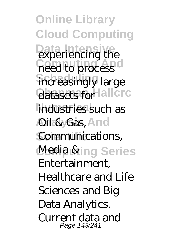**Online Library Cloud Computing Data Intensive** experiencing the need to process increasingly large datasets for lallcrc industries such as **Oil & Gas, And** Communications, Media &ing Series Entertainment, Healthcare and Life Sciences and Big Data Analytics. Current data and Page 143/241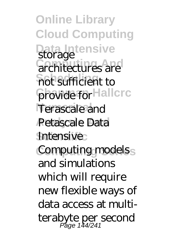**Online Library Cloud Computing Data Intensive** storage **Computer** not sufficient to provide for Hallcrc Terascale and Petascale Data **Intensive: Computing modelss** and simulations which will require new flexible ways of data access at multiterabyte per second Page 144/241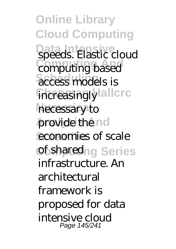**Online Library Cloud Computing** Data<br>speeds. Elastic cloud **Computing And** computing based access models is increasingly allcrc necessary to **provide** the nd economies of scale **of sharedng Series** infrastructure. An architectural framework is proposed for data intensive cloud Page 145/241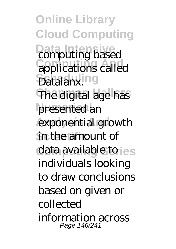**Online Library Cloud Computing Data Internal Computing based Computing And** applications called **Scheduling** Datalanx. **The digital age has** presented an exponential growth in the amount of data available to ies individuals looking to draw conclusions based on given or collected information across Page 146/241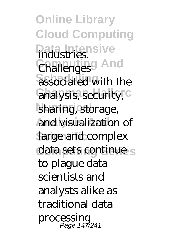**Online Library Cloud Computing Data Intensive** industries. **Challenges** And associated with the analysis, security, C sharing, storage, and visualization of large and complex data sets continue s to plague data scientists and analysts alike as traditional data processing Page 147/241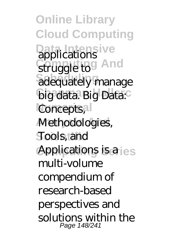**Online Library Cloud Computing Data Intensive** struggle to And adequately manage big data. Big Data: Concepts, Methodologies, **Scientifical Tools, and<br>Applications is a** ies multi-volume compendium of research-based perspectives and solutions within the Page 148/241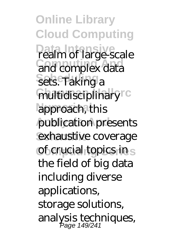**Online Library Cloud Computing Data Intensive** realm of large-scale and complex data Sets. Taking a multidisciplinary<sup>rc</sup> approach, this publication presents exhaustive coverage of crucial topics in s the field of big data including diverse applications, storage solutions, analysis techniques, Page 149/241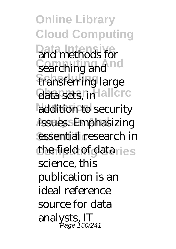**Online Library Cloud Computing Data methods for** searching and not transferring large data sets, in allcrc addition to security issues. Emphasizing essential research in the field of dataries science, this publication is an ideal reference source for data analysts, IT Page 150/241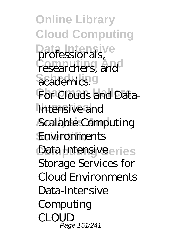**Online Library Cloud Computing Data interventionals**, researchers, and academics.<sup>9</sup> For Clouds and Data-Intensive and **Scalable Computing Environments Data Intensiveeries** Storage Services for Cloud Environments Data-Intensive **Computing** CLOUD Page 151/241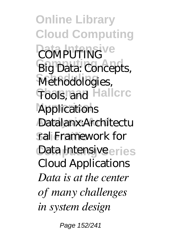**Online Library Cloud Computing COMPUTING**<sup>Ve</sup> **Big Data: Concepts,** Methodologies, **Tools, and Hallcrc Applications** Datalanx:Architectu ral Framework for **Data Intensiveeries** Cloud Applications *Data is at the center of many challenges in system design*

Page 152/241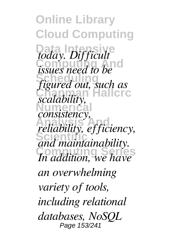**Online Library Cloud Computing** *today. Difficult issues need to be* **Scheduling** *figured out, such as* **Chapman Hallcrc** *scalability, consistency,* **Analysis And** *reliability, efficiency, cuttomy*, *eff center In addition, we have an overwhelming variety of tools, including relational databases, NoSQL* Page 153/241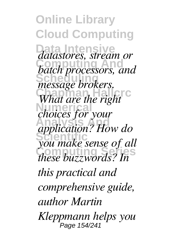**Online Library Cloud Computing Data Intensive** *datastores, stream or* **Computing And** *batch processors, and* message brokers. *Chapman Hallcond C What are the right* **Numerical** *choices for your* **Analysis And** *application? How do* **Scientific** *you make sense of all* **Computing Series** *these buzzwords? In this practical and comprehensive guide, author Martin Kleppmann helps you* Page 154/241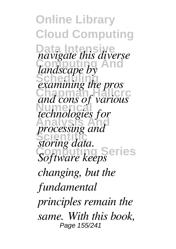**Online Library Cloud Computing Data Intensive** *navigate this diverse landscape by* **Scheduling** *examining the pros* **Chapman Hallcrc** *and cons of various* **Numerical** *technologies for* **Analysis And** *processing and* **Scientific** *storing data.* **Software keeps** *changing, but the fundamental principles remain the same. With this book,* Page 155/241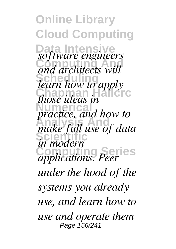**Online Library Cloud Computing Data Intensive** *software engineers* **Computing And** *and architects will* **Scheduling** *learn how to apply chapping those ideas in* **Numerical** *practice, and how to* **Analysis And** *make full use of data in modern* **Computing Series** *applications. Peer under the hood of the systems you already use, and learn how to use and operate them* Page 156/241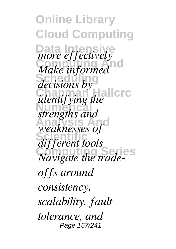**Online Library Cloud Computing Data is a line of fectively** *Make informed decisions by* **Chapman Hallcrc** *identifying the* **Numerical** *strengths and* **Analysis And** *weaknesses of* **Scientific** *different tools* **Computing Series** *Navigate the tradeoffs around consistency, scalability, fault tolerance, and* Page 157/241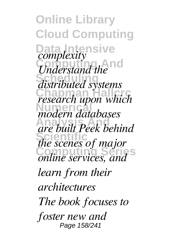**Online Library Cloud Computing Data Intensive** *Complexing* **Scheduling** *distributed systems research upon which* **Numerical** *modern databases* **Analysis And** *are built Peek behind the scenes of major* **Computing Series** *online services, and complexity learn from their architectures The book focuses to foster new and* Page 158/241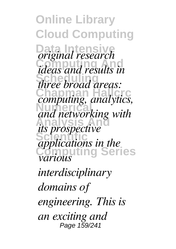**Online Library Cloud Computing Data Intensive** *original research* **Computing And** *ideas and results in* **Scheduling** *three broad areas:* **Chapman Hallcrc** *computing, analytics,* **Numerical** *and networking with its prospective* **Scientific Computing Series** *applications in the various interdisciplinary domains of engineering. This is an exciting and* Page 159/241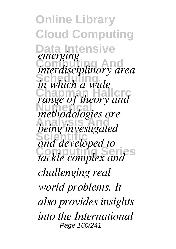**Online Library Cloud Computing Data Intensive Computing And** *interdisciplinary area* **Scheduling** *in which a wide ch change* of *theory and* **Numerical** *methodologies are* **Analysis And** *being investigated* **Scientific** *and developed to tackle complex and emerging challenging real world problems. It also provides insights into the International* Page 160/241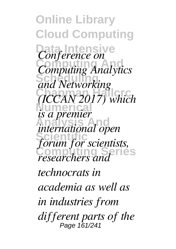**Online Library Cloud Computing** *Conference on* **Computing And** *Computing Analytics* **Scheduling** *and Networking* **Chapman Hallcrc** *(ICCAN 2017) which* **Numerical** *is a premier* **Analysis And** *international open* **Scientific** *forum for scientists, researchers and technocrats in academia as well as in industries from different parts of the* Page 161/241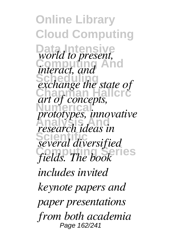**Online Library Cloud Computing Data Intensive** *world to present, interact, and* **Exchange the state of Chapman Hallcrc** *art of concepts,* **Numerical** *prototypes, innovative* **Analysis And** *research ideas in* **Scientific** *several diversified* **Computing Series** *fields. The book includes invited keynote papers and paper presentations from both academia* Page 162/241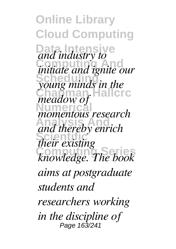**Online Library Cloud Computing** and *industry to* **Computing And** *initiate and ignite our* **Scheduling** *young minds in the* **Chapman Hallcrc** *meadow of* **Numerical** *momentous research* **Analysis And** *and thereby enrich their existing* **Computing Series** *knowledge. The book aims at postgraduate students and researchers working in the discipline of* Page 163/241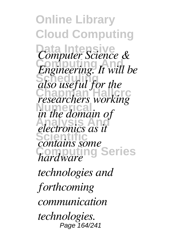**Online Library Cloud Computing Data Intensive** *Computer Science &* **Computing And** *Engineering. It will be* also useful for the *chase discribes working in the domain of* **Analysis And** *electronics as it* **Scientific** *contains some* **Computing Series** *hardware technologies and forthcoming communication technologies.* Page 164/241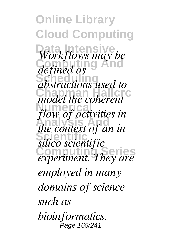**Online Library Cloud Computing Workflows may be Computing And** *defined as* **Scheduling** *abstractions used to* model the coherent *flow of activities in* **Analysis And** *the context of an in* **Scientific** *silico scientific* **Computing Series** *experiment. They are employed in many domains of science such as bioinformatics,* Page 165/241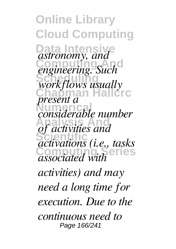**Online Library Cloud Computing Data Intensive Computing And** *engineering. Such* Scheduling **Chapman Hallcrc Numerical** *considerable number* **Analysis And** *of activities and* **Scientific** *activations (i.e., tasks* **Computing Series** *associated with astronomy, and workflows usually present a activities) and may need a long time for execution. Due to the continuous need to* Page 166/241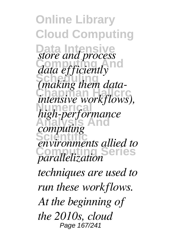**Online Library Cloud Computing Data is and process Computing And** *data efficiently* **Scheduling** *(making them dataintensive workflows),* **Numerical** *high-performance* **Analysis And** *computing* **Scientific** *environments allied to* **Computing Series** *parallelization techniques are used to run these workflows. At the beginning of the 2010s, cloud* Page 167/241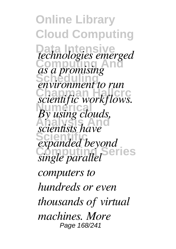**Online Library Cloud Computing Data Intensive Computing And Scheduling Chapman Hallcrip Control**<br> *scientific workflows. By using clouds, scientists have* **Scientific** *expanded beyond* **Computation** Series *technologies emerged as a promising environment to run computers to hundreds or even thousands of virtual machines. More* Page 168/241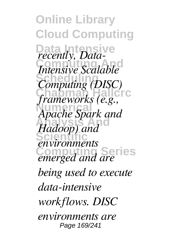**Online Library Cloud Computing** Data-*Commission*<br> *Commission*<br> *Intensive Scalable* **Scheduling** *Computing (DISC) computing (2188)*<br>*frameworks (e.g.,* **Numerical** *Apache Spark and* **Analysis And** *Hadoop) and* **Scientific** *environments* **Computing Series** *emerged and are being used to execute data-intensive workflows. DISC environments are* Page 169/241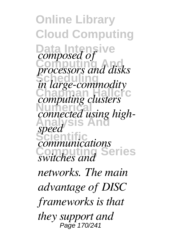**Online Library Cloud Computing Data Intensive Computing And** *processors and disks* **Scheduling** *in large-commodity* **Chapman Hallcrc** *computing clusters* Numer<sub>ica</sub> **Analysis And Scientific** *communications* **Communications** *composed of connected using highspeed networks. The main advantage of DISC frameworks is that they support and* Page 170/241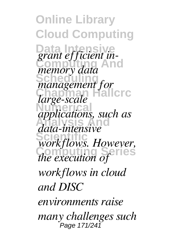**Online Library Cloud Computing Data** *grant efficient* in-**Computing And** *memory data* **Scheduling** *management for* **Chapman Hallcrc** *large-scale applications, such as* **Analysis And** *data-intensive* **Scientific** *workflows. However, change will now refles workflows in cloud and DISC environments raise many challenges such* Page 171/241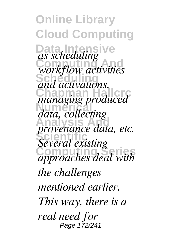**Online Library Cloud Computing** Data *as scheduling* **Computing And** *workflow activities* and activations, **Chapman Hallcrc** *managing produced* **Numerical** *data, collecting* **Analysis And** *provenance data, etc.* **Scientific** *Several existing* **Computing Series** *approaches deal with the challenges mentioned earlier. This way, there is a real need for* Page 172/241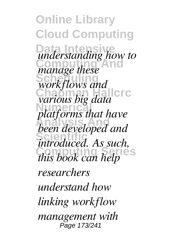**Online Library Cloud Computing Data Intensive** *understanding how to manage these* **Scheduling** *workflows and charious big data Platforms that have* **Analysis And** *been developed and* **Scientific** *introduced. As such, compute this book can help researchers understand how linking workflow management with* Page 173/241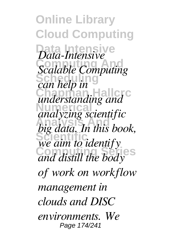**Online Library Cloud Computing Data Intensive** *Data-Intensive* **Computing And** *Scalable Computing* **Schliefe** in *call lives* and *understanding and* **Numerical** *analyzing scientific* **Analysis And** *big data. In this book,* **Scientific** *we aim to identify* **Computing Series** *and distill the body of work on workflow management in clouds and DISC environments. We* Page 174/241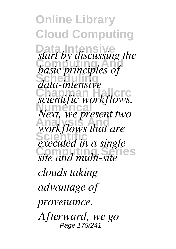**Online Library Cloud Computing** *Data by discussing the* **Computing And** *basic principles of* **Scheduling** *data-intensive* **Chapman Hallcrc** *scientific workflows.* **Numerical** *Next, we present two* **Analysis And** *workflows that are* **Executed in a single Computing Series** *site and multi-site clouds taking advantage of provenance. Afterward, we go* Page 175/241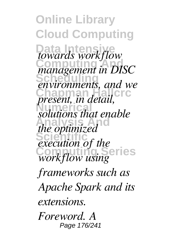**Online Library Cloud Computing Data Intensive** *towards workflow* **Computing And** *management in DISC* **Scheduling** *environments, and we charmanicius*, and *in*<br>*present, in detail*, *solutions that enable the optimized* **EXECUTE:** *execution of the* **Common Series** *frameworks such as Apache Spark and its extensions. Foreword. A* Page 176/241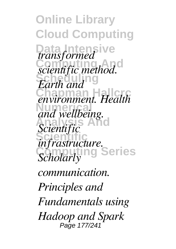**Online Library Cloud Computing Data Intensive** *scientific method.* **Earth and** *Carmana Health* and wellbeing. **Analysis And** *Scientific* **Scientific** *infrastructure.* **Scholarly Series** *transformed communication. Principles and Fundamentals using Hadoop and Spark* Page 177/241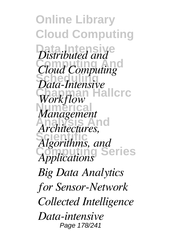**Online Library Cloud Computing** *Distributed and*<sup>e</sup> **Computing And** *Cloud Computing* **Scheduling** *Data-Intensive* **Workflow Numerical** *Management* **Analysis And** *Architectures,* **Scientific** *Algorithms, and* **Computing Series** *Applications Big Data Analytics for Sensor-Network Collected Intelligence Data-intensive* Page 178/241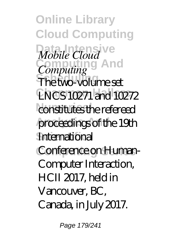**Online Library Cloud Computing** *Mobile Cloud* **Computing And** *Computing* **Scheduling** The two-volume set **Chapman Hallcrc** LNCS 10271 and 10272 constitutes the refereed proceedings of the 19th International Conference on Human-Computer Interaction, HCII 2017, held in Vancouver, BC, Canada, in July 2017.

Page 179/241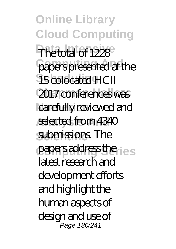**Online Library Cloud Computing** The total of 1228 papers presented at the **15** colocated HCII 2017 conferences was carefully reviewed and selected from 4340 submissions. The papers address the <sub>les</sub> latest research and development efforts and highlight the human aspects of design and use of Page 180/241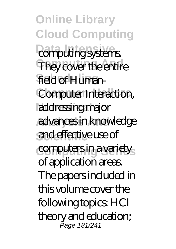**Online Library Cloud Computing** *<u>damputing systems</u>* They cover the entire field of Human-**Computer Interaction,** addressing major **Analysis And** advances in knowledge **Scientific** and effective use of computers in a variety of application areas. The papers included in this volume cover the following topics: HCI theory and education; Page 181/241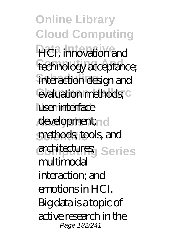**Online Library Cloud Computing HCI**, innovation and technology acceptance; interaction design and evaluation methods; C luser interface development;n d methods, tools, and architectures; Series multimodal interaction; and emotions in HCI. Big data is a topic of active research in the Page 182/241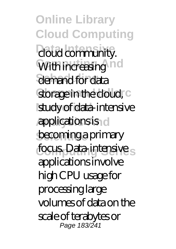**Online Library Cloud Computing** *<u>doud</u>* community. With increasing ind demand for data storage in the cloud, c study of data-intensive *Applications is d* becoming a primary focus. Data-intensive s applications involve high CPU usage for processing large volumes of data on the scale of terabytes or Page 183/241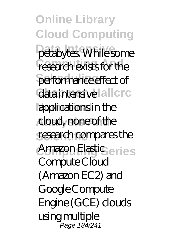**Online Library Cloud Computing** petabytes. While some research exists for the performance effect of data intensive allcrc **Numerical** applications in the **Analysis And** cloud, none of the research compares the Amazon Elastic<sub>ceries</sub> Compute Cloud  $(Amaxon EC2)$  and Google Compute Engine (GCE) clouds using multiple Page 184/241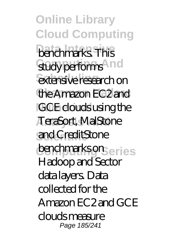**Online Library Cloud Computing benchmarks** This study performs<sup>And</sup> extensive research on the Amazon EC2 and **IGCE** clouds using the **Analysis And** TeraSort, MalStone **Scientific** and CreditStone benchmarks on <sub>eries</sub> Hadoop and Sector data layers. Data collected for the Amazon EC2 and GCE clouds measure Page 185/241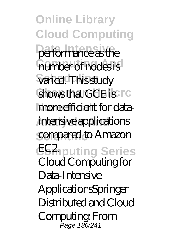**Online Library Cloud Computing** performance as the **number of nodes is** varied. This study shows that GCE is rc more efficient for dataintensive applications compared to Amazon **EGAputing Series** Cloud Computing for Data-Intensive ApplicationsSpringer Distributed and Cloud Computing: From Page 186/241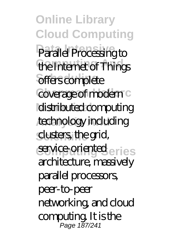**Online Library Cloud Computing** Parallel Processing to the Internet of Things offers complete coverage of modern c **Idistributed computing** technology including clusters, the grid, service-oriented<sub>eries</sub> architecture, massively parallel processors, peer-to-peer networking, and cloud computing. It is the Page 187/241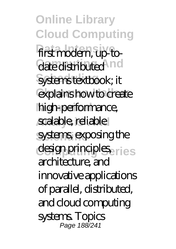**Online Library Cloud Computing** first modern, up-todate distributed ind systems textbook; it explains how to create high-performance, scalable, reliable systems, exposing the design principles<sub>eries</sub> architecture, and innovative applications of parallel, distributed, and cloud computing systems. Topics Page 188/241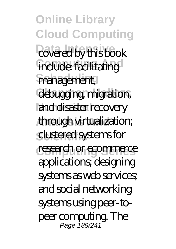**Online Library Cloud Computing** covered by this book **include:** facilitating management, debugging migration, and disaster recovery **Analysis And** through virtualization; **Scientific** clustered systems for research or ecommerce applications; designing systems as web services; and social networking systems using peer-topeer computing. The Page 189/241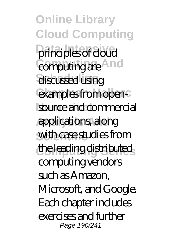**Online Library Cloud Computing** principles of cloud **Computing And** computing are discussed using examples from opensource and commercial **Analysis And** applications, along with case studies from **Computing Series** the leading distributed computing vendors such as Amazon, Microsoft, and Google. Each chapter includes exercises and further Page 190/241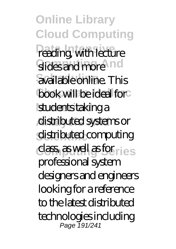**Online Library Cloud Computing** reading, with lecture slides and more nd available online. This book will be ideal for students taking a **Analysis And** distributed systems or distributed computing class, as well as for<sub>mes</sub> professional system designers and engineers looking for a reference to the latest distributed technologies including Page 191/241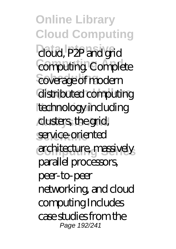**Online Library Cloud Computing** cloud, P2P and grid **Computing Complete** coverage of modern distributed computing technology including **Analysis And** clusters, the grid, service-oriented architecture, massively parallel processors, peer-to-peer networking, and cloud computing Includes case studies from the Page 192/241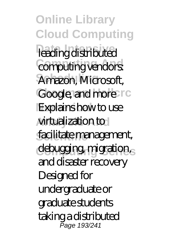**Online Library Cloud Computing** leading distributed computing vendors: **Scheduling** Amazon, Microsoft, Google, and more rc **Explains how to use Analysis And** virtualization to facilitate management, debugging migration, and disaster recovery Designed for undergraduate or graduate students taking a distributed Page 193/241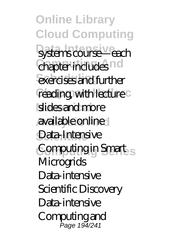**Online Library Cloud Computing** systems course—each **Chapter includes** nd exercises and further reading, with lecture<sup>c</sup> slides and more **Analysis And** available online Data-Intensive Computing in Smart<sub>s</sub> **Microgrids** Data-intensive Scientific Discovery Data-intensive Computing and Page 194/241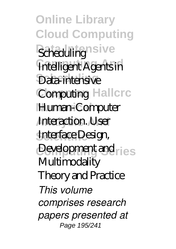**Online Library Cloud Computing** Schedulingnsive **Intelligent Agents in** Data-intensive **Computing Hallcrc** Human-Computer **Interaction. User Scientific** Interface Design, Development and ries **Multimodality** Theory and Practice *This volume comprises research papers presented at* Page 195/241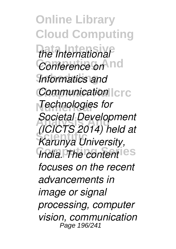**Online Library Cloud Computing Data Intensive** *the International Conference on* nd **Scheduling** *Informatics and Communication*  $|c|c$ **Numerical** *Technologies for* **Analysis And** *Societal Development* **Scientific** *Karunya University, India. The content* ies *(ICICTS 2014) held at focuses on the recent advancements in image or signal processing, computer vision, communication* Page 196/241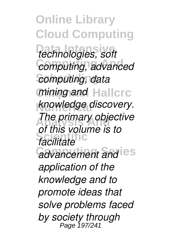**Online Library Cloud Computing Data Intensive** *technologies, soft*  $computing, advance$  $computing, data$ *mining and* Hallcrc **knowledge discovery.** *The primary objective* **Scientific** *facilitate <u>advancement</u> and*  $e$ *s of this volume is to application of the knowledge and to promote ideas that solve problems faced by society through* Page 197/241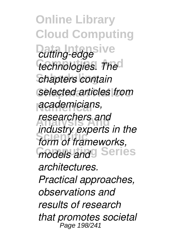**Online Library Cloud Computing** *<u>Dating-edge</u>*  $technologies.$  The  $chapters$ *chapters contain* **Chapman Hallcrc** *selected articles from* **Numerical** *academicians,* **Analysis And** *researchers and* **Scientific** *form of frameworks,*  $f$ *models and*<sup>g</sup> Series *industry experts in the architectures. Practical approaches, observations and results of research that promotes societal* Page 198/241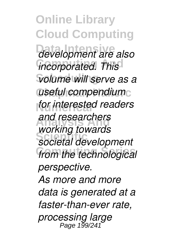**Online Library Cloud Computing Data Intensive** *development are also*  $i$ *ncorporated. This*  $Volume$  will serve as a *useful compendium* for interested readers **Analysis And** *and researchers* **Scientific** *societal development*  $from the technologies$ *working towards perspective. As more and more data is generated at a faster-than-ever rate, processing large* Page 199/2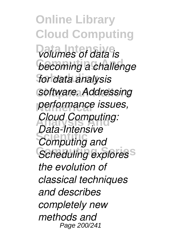**Online Library Cloud Computing Data Intensive** *volumes of data is* **becoming a challenge Scheduling** *for data analysis* **Chapman Hallcrc** *software. Addressing* **Numerical** *performance issues,* **Analysis And** *Cloud Computing: Computing and* Scheduling explores<sup>S</sup> *Data-Intensive the evolution of classical techniques and describes completely new methods and* Page 200/241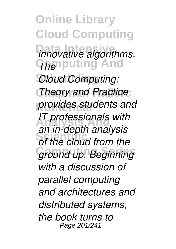**Online Library Cloud Computing**  $innovative algorithms.$ **GRAPPUTING And Cloud Computing: Theory and Practice** *provides students and* **Analysis And** *IT professionals with* **Scientific** *of the cloud from the* **Computing Series** *ground up. Beginning an in-depth analysis with a discussion of parallel computing and architectures and distributed systems, the book turns to* Page 201/241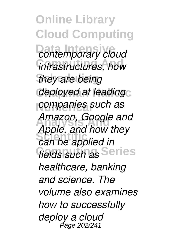**Online Library Cloud Computing** *<u>Contemporary</u> cloud* **Computing And** *infrastructures, how they are being* deployed at leadingc **Numerical** *companies such as* **Analysis And** *Amazon, Google and* **Scientific** *can be applied in*  $f$ *ields such as* Series *Apple, and how they healthcare, banking and science. The volume also examines how to successfully deploy a cloud* Page 202/241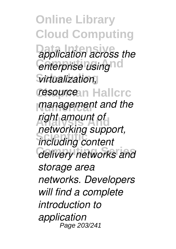**Online Library Cloud Computing application across the** *enterprise using*nd  $V$ *irtualization,* **resource** in Hallcrc **management and the Analysis And** *right amount of* **Scientific** *including content*  $delivery$  networks and *networking support, storage area networks. Developers will find a complete introduction to application* Page 203/241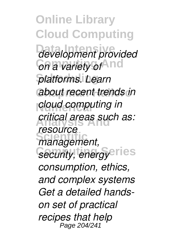**Online Library Cloud Computing Data Intensive** *development provided <u>On a variety of</u> and* **Scheduling** *platforms. Learn* **Chapman Hallcrc** *about recent trends in* **cloud computing in Analysis And** *critical areas such as:* management, *Security, energy***eries** *resource consumption, ethics, and complex systems Get a detailed handson set of practical recipes that help* Page 204/241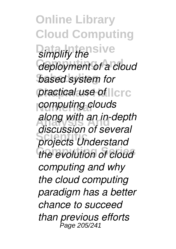**Online Library Cloud Computing** *<u>simplify</u> the sive*  $\alpha$ *deployment of a cloud* **based system for practical use of llcrc Numerical** *computing clouds* **Analysis And** *along with an in-depth* **Scientific** *projects Understand the evolution of cloud discussion of several computing and why the cloud computing paradigm has a better chance to succeed than previous efforts* Page 205/241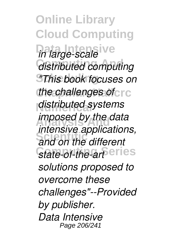**Online Library Cloud Computing Data Intensive** *in large-scale* **Computing And** *distributed computing* **Scheduling** *"This book focuses on the challenges of*  $\epsilon$  rc **Numerical** *distributed systems imposed by the data* **Scientific** *and on the different* State-of-the-art<sup>eries</sup> *intensive applications, solutions proposed to overcome these challenges"--Provided by publisher. Data Intensive* Page 206/241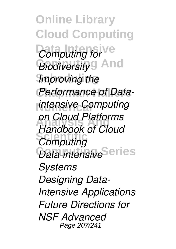**Online Library Cloud Computing** *Computing for* **Biodiversity**<sup>g</sup> And **Improving** the **Performance of Data-Numerical** *intensive Computing* **Analysis And** *Handbook of Cloud* **Computing** *Data-intensive*Series *on Cloud Platforms Systems Designing Data-Intensive Applications Future Directions for NSF Advanced* Page 207/241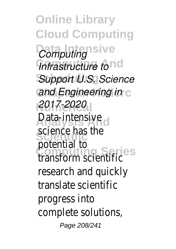**Online Library Cloud Computing** *Computing* sive *Infrastructure tond* **Support U.S. Science** *Cand Engineering in* **Numerical** *2017-2020* **Analysis And** Data-intensive **Scientific Computing Series** transform scientific science has the potential to research and quick translate scientific progress into complete solutions, Page 208/241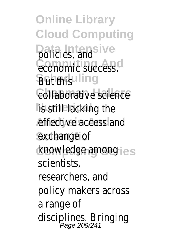**Online Library Cloud Computing Data Intensive** policies, and Computing Andrecess. **Butduhing collaborative** scien **lis retillalacking the** effective access a exchange of **Computing Series** knowledge among scientists, researchers, and policy makers acros a range of disciplines. Bringin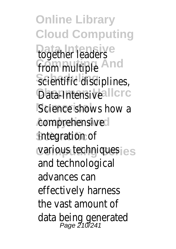**Online Library Cloud Computing Data Intensive Computing And** Scientific discipline **Data-Intensive** Science shows how **Analysis And** comprehensive **Scientific** integration of **vanious techniques** together leaders from multiple and technological advances can effectively harness the vast amount of data being generated Page 210/241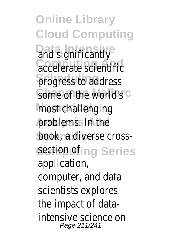**Online Library Cloud Computing** Data Intensive<sub>cantly</sub> *Computing And* scientif progress to addre Some of <sup>athe</sup> world **mostcchallenging** problems. In the **book**fia diverse cross Section<sub>g</sub> ofries application, computer, and dat scientists explores the impact of data intensive science on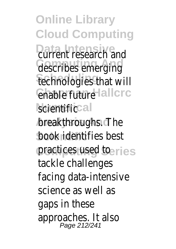**Online Library Cloud Computing** Data Intensive<br>Current research a Consertibes emerging fechnologies that **Chapman Hallcrc** enable future **Numerical** scientific **breakthroughs.** The **bookfidentifies best** practices used to tackle challenges facing data-intens science as well as gaps in these approaches. It also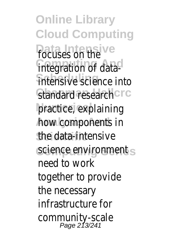**Online Library Cloud Computing Data Intensive** focuses on the **Computing And of data intensive** science i Standard research practice, explaining *h*ow icomponents **Scientific** the data-intensive Science<sub>s</sub> environme need to work together to provid the necessary infrastructure for community-scale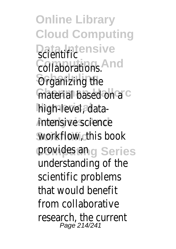**Online Library Cloud Computing Data Intensive** scientific **Computing And** collaborations. **Scheduling** Organizing the material<sup>based</sup> on high<sup>i</sup>level, data-*Antensive science* **Scientific** workflow, this book provides san<sub>es</sub> understanding of scientific problems that would benefi from collaborative research, the curr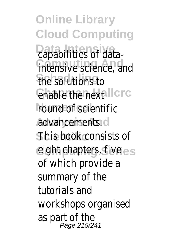**Online Library Cloud Computing Data Intensive Computing And Scheduling** the solutions to **Chapman Hallcrc** enable the next round<sup>a</sup>of scientific **Analysis And** advancements. **Shistibook consists** eight tichapters, fiv capabilities of data  $\,$ intensive science, of which provide a summary of the tutorials and workshops organis as part of the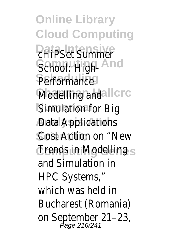**Online Library Cloud Computing Data Intensive** cHiPSet Summer School: <sup>9</sup>High-Performance **Modelling** and **Simulation for Big** *Anal Applications* **Costifiaction on "New Computing Series** Trends in Modelling and Simulation in HPC Systems," which was held in Bucharest (Roman on September 21-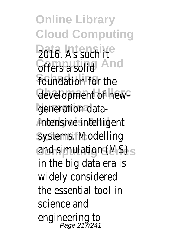**Online Library Cloud Computing Data Intensive** 2016. As such it **Corers a** solid nd foundation for the **Gevelopment of new**generation data**intehsive intelligent systems. Modelling** and simulation (MS) in the big data era is widely considered the essential tool in science and engineering to Page 217/241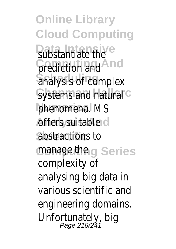**Online Library Cloud Computing Bubstantiate** the **prediction** and d  $\overline{\text{analysis}}$  of complex Systems and natural phenomena. MS **Analysis Suitable** abstractions to manage the Series complexity of analysing big data in various scientific and engineering domains. Unfortunately, big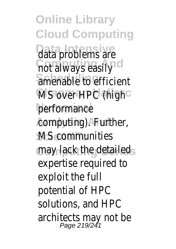**Online Library Cloud Computing Data Intensive** data problems are **not always easily** amenable to efficient MS over HPC (high performance **Analysis And** computing). Further, **MS communities may lack the detailed** expertise required to exploit the full potential of HPC solutions, and HPC architects may not be Page 219/241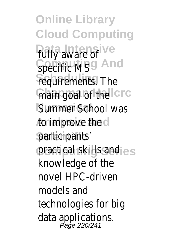**Online Library Cloud Computing** *Pully aware of* Specific MS And  $r$ equirements. The main goal of the<sup>c</sup> Summer School was **Analysis And** to improve the participants<sup>'</sup> practical skills and knowledge of the novel HPC-driven models and technologies for big data applications. Page 220/241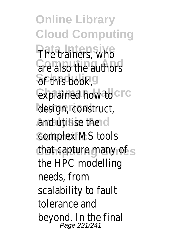**Online Library Cloud Computing Data Intensive** The trainers, who *<u>Grenalso the authors</u>*  $6$ f this book, explained how to design, construct, **Analysis And** and utilise the complex MS tools that capture many of the HPC modelling needs, from scalability to fault tolerance and beyond. In the final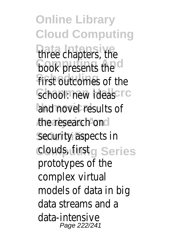**Online Library Cloud Computing Data Intensive** three chapters, the **book** presents the first outcomes of the School: new ideas and novel results of **Analysis And** the research on security aspects in **Computing Series** clouds, first prototypes of the complex virtual models of data in big data streams and a data-intensive Page 222/241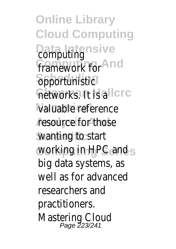**Online Library Cloud Computing Data utting** framework for d **Scheduling** opportunistic *<u>Charles</u>* **valuable** reference resource for those **Scientific** wanting to start working in HPC and big data systems, as well as for advanced researchers and practitioners. Mastering Cloud Page 223/241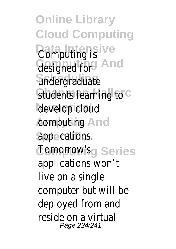**Online Library Cloud Computing** *<u>Data Juting is</u>* designed for and **Scheduling** undergraduate Students learning to develop cloud **computing**<sub>nd</sub> applications. **Computing Series** Tomorrow's applications won't live on a single computer but will be deployed from and reside on a virtual Page 224/241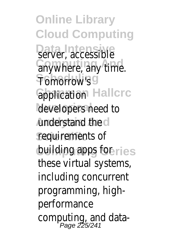**Online Library Cloud Computing Data Intensive** server, accessible anywhere, any time. **Scheduling** Tomorrow's **Gpplication Hallcrc** developers need to **Anderstand the Scientific** requirements of building apps for s these virtual systems, including concurrent programming, highperformance computing, and data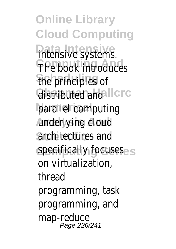**Online Library Cloud Computing Data Intensive** intensive systems. **The book introduces fhe principles of Gistributed and rc parallel** computing **Analysis And** underlying cloud architectures and specifically focuses on virtualization, thread programming, task programming, and map-reduce Page 226/241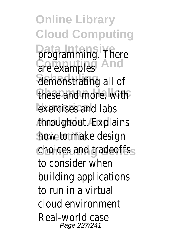**Online Library Cloud Computing Data Intensive** programming. There *<u>are examples</u>* nd demonstrating all of these and more, with exercises and labs **Analysis And** throughout. Explains **how to make design Computing Series** choices and tradeoffs to consider when building applications to run in a virtual cloud environment Real-world case Page 227/241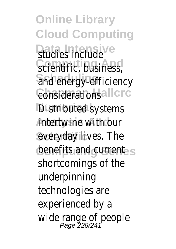**Online Library Cloud Computing B**tudies include **Scientific, business** and energy-efficiency **Considerations** Distributed systems **intertwine with our** everyday lives. The benefits and current shortcomings of the underpinning technologies are experienced by a wide range of people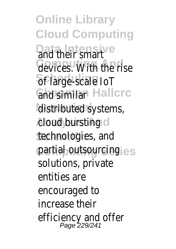**Online Library Cloud Computing Data Intensive** and their smart **Gevices**. With the rise **Scheduling** of large-scale IoT Gha similar Hallcrc distributed systems, **Analysis And** cloud bursting **Scientific** technologies, and partial outsourcing solutions, private entities are encouraged to increase their efficiency and offer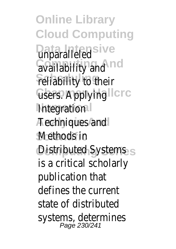**Online Library Cloud Computing Unparalleled** ve **Computing And** availability and **Feliability** to their Gisers. Applying rc **Integration Analysis And** Techniques and **Methods** in Distributed Systems is a critical scholarly publication that defines the current state of distributed systems, determines Page 230/241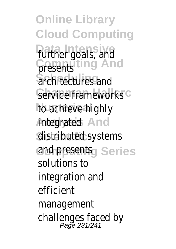**Online Library Cloud Computing Data Intensive** further goals, and **Cresentsng And**  $\overline{\text{a}}$  rchitectures and Service frameworks to achieve highly *i*ntegrated nd **Scientific** distributed systems and presentseries solutions to integration and efficient management challenges faced by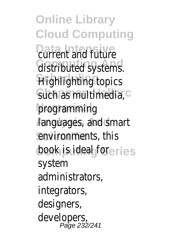**Online Library Cloud Computing Pata Intensive Lure Gistributed** systems. **Highlighting** topics Such as multimedia, **programming Analysis And** languages, and smart environments, this book is ideal fores system administrators, integrators, designers, developers, Page 232/241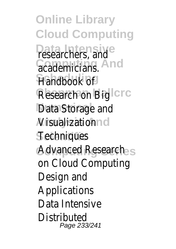**Online Library Cloud Computing** Pesearchers, and **Geademicians.nd Scheduling** Handbook of **Research on Big C** Data Storage and **Nisualizationd Techniques** Advanced Research on Cloud Computing Design and Applications Data Intensive **Distributed** Page 233/241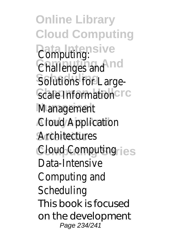**Online Library Cloud Computing** *<u>Data Juting</u>* Challenges and<sup>d</sup> Solutions for Large-**Scale Information Management** *A***ctoud Application Scientific** Architectures **Computing Series** Cloud Computing Data-Intensive Computing and **Scheduling** This book is focused on the development Page 234/241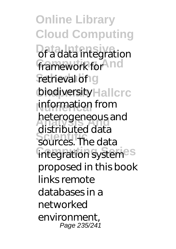**Online Library Cloud Computing Data integration** framework for<sup>And</sup> retrieval of g biodiversity Hallcrc information from **Analysis And** heterogeneous and **Scientific** sources. The data **integration systemes** distributed data proposed in this book **links remote** databases in a networked environment, Page 235/241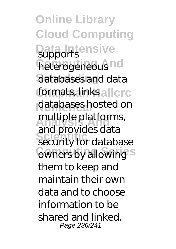**Online Library Cloud Computing Data** Intensive **heterogeneous**nd databases and data formats, links allcrc databases hosted on multiple platforms, **Scientific** security for database **Comers by allowing** and provides data them to keep and maintain their own data and to choose information to be shared and linked. Page 236/241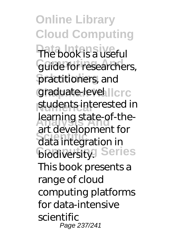**Online Library Cloud Computing Data Intensive** The book is a useful **Guide for researchers, Scheduling** practitioners, and graduate-levellcrc students interested in **Learning state-of-the-Scientific** data integration in *<u>Glodiversity</u>* Series art development for This book presents a range of cloud computing platforms for data-intensive scientific Page 237/241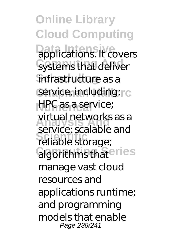**Online Library Cloud Computing Data Intensive**<br>applications. It covers Systems that deliver infrastructure as a service, including: rc **HPC as a service; Analysis And** service; scalable and service, sealable<br>
reliable storage; **Gloorithms thateries** virtual networks as a manage vast cloud resources and applications runtime; and programming models that enable Page 238/241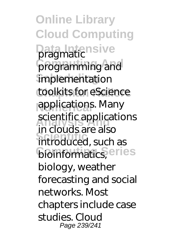**Online Library Cloud Computing** Data Intensive programming and **implementation** toolkits for eScience applications. Many scientific applications in docussite also<br>introduced, such as **bioinformatics**, eries in clouds are also biology, weather forecasting and social networks. Most chapters include case studies. Cloud Page 239/241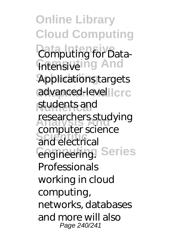**Online Library Cloud Computing** *<u>Data Intensive</u>* **Intensive ing And Applications targets** advanced-levellcrc students and researchers studying **Scriptici**<br>
and electrical **Computing Series** engineering. computer science **Professionals** working in cloud computing, networks, databases and more will also Page 240/241